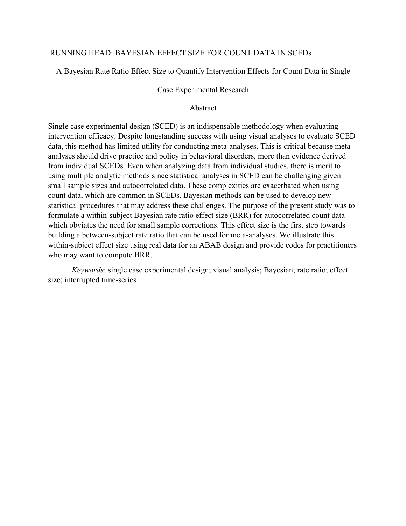# RUNNING HEAD: BAYESIAN EFFECT SIZE FOR COUNT DATA IN SCEDs

A Bayesian Rate Ratio Effect Size to Quantify Intervention Effects for Count Data in Single

# Case Experimental Research

# Abstract

Single case experimental design (SCED) is an indispensable methodology when evaluating intervention efficacy. Despite longstanding success with using visual analyses to evaluate SCED data, this method has limited utility for conducting meta-analyses. This is critical because metaanalyses should drive practice and policy in behavioral disorders, more than evidence derived from individual SCEDs. Even when analyzing data from individual studies, there is merit to using multiple analytic methods since statistical analyses in SCED can be challenging given small sample sizes and autocorrelated data. These complexities are exacerbated when using count data, which are common in SCEDs. Bayesian methods can be used to develop new statistical procedures that may address these challenges. The purpose of the present study was to formulate a within-subject Bayesian rate ratio effect size (BRR) for autocorrelated count data which obviates the need for small sample corrections. This effect size is the first step towards building a between-subject rate ratio that can be used for meta-analyses. We illustrate this within-subject effect size using real data for an ABAB design and provide codes for practitioners who may want to compute BRR.

*Keywords*: single case experimental design; visual analysis; Bayesian; rate ratio; effect size; interrupted time-series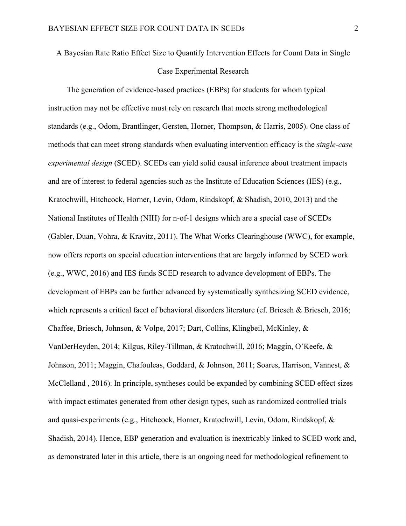# A Bayesian Rate Ratio Effect Size to Quantify Intervention Effects for Count Data in Single Case Experimental Research

The generation of evidence-based practices (EBPs) for students for whom typical instruction may not be effective must rely on research that meets strong methodological standards (e.g., Odom, Brantlinger, Gersten, Horner, Thompson, & Harris, 2005). One class of methods that can meet strong standards when evaluating intervention efficacy is the *single-case experimental design* (SCED). SCEDs can yield solid causal inference about treatment impacts and are of interest to federal agencies such as the Institute of Education Sciences (IES) (e.g., Kratochwill, Hitchcock, Horner, Levin, Odom, Rindskopf, & Shadish, 2010, 2013) and the National Institutes of Health (NIH) for n-of-1 designs which are a special case of SCEDs (Gabler, Duan, Vohra, & Kravitz, 2011). The What Works Clearinghouse (WWC), for example, now offers reports on special education interventions that are largely informed by SCED work (e.g., WWC, 2016) and IES funds SCED research to advance development of EBPs. The development of EBPs can be further advanced by systematically synthesizing SCED evidence, which represents a critical facet of behavioral disorders literature (cf. Briesch & Briesch, 2016; Chaffee, Briesch, Johnson, & Volpe, 2017; Dart, Collins, Klingbeil, McKinley, & VanDerHeyden, 2014; Kilgus, Riley-Tillman, & Kratochwill, 2016; Maggin, O'Keefe, & Johnson, 2011; Maggin, Chafouleas, Goddard, & Johnson, 2011; Soares, Harrison, Vannest, & McClelland , 2016). In principle, syntheses could be expanded by combining SCED effect sizes with impact estimates generated from other design types, such as randomized controlled trials and quasi-experiments (e.g., Hitchcock, Horner, Kratochwill, Levin, Odom, Rindskopf, & Shadish, 2014). Hence, EBP generation and evaluation is inextricably linked to SCED work and, as demonstrated later in this article, there is an ongoing need for methodological refinement to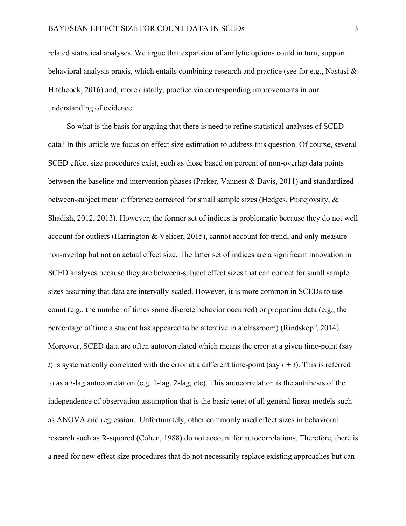related statistical analyses. We argue that expansion of analytic options could in turn, support behavioral analysis praxis, which entails combining research and practice (see for e.g., Nastasi & Hitchcock, 2016) and, more distally, practice via corresponding improvements in our understanding of evidence.

So what is the basis for arguing that there is need to refine statistical analyses of SCED data? In this article we focus on effect size estimation to address this question. Of course, several SCED effect size procedures exist, such as those based on percent of non-overlap data points between the baseline and intervention phases (Parker, Vannest & Davis, 2011) and standardized between-subject mean difference corrected for small sample sizes (Hedges, Pustejovsky, & Shadish, 2012, 2013). However, the former set of indices is problematic because they do not well account for outliers (Harrington & Velicer, 2015), cannot account for trend, and only measure non-overlap but not an actual effect size. The latter set of indices are a significant innovation in SCED analyses because they are between-subject effect sizes that can correct for small sample sizes assuming that data are intervally-scaled. However, it is more common in SCEDs to use count (e.g., the number of times some discrete behavior occurred) or proportion data (e.g., the percentage of time a student has appeared to be attentive in a classroom) (Rindskopf, 2014). Moreover, SCED data are often autocorrelated which means the error at a given time-point (say *t*) is systematically correlated with the error at a different time-point (say  $t + l$ ). This is referred to as a *l*-lag autocorrelation (e.g. 1-lag, 2-lag, etc). This autocorrelation is the antithesis of the independence of observation assumption that is the basic tenet of all general linear models such as ANOVA and regression. Unfortunately, other commonly used effect sizes in behavioral research such as R-squared (Cohen, 1988) do not account for autocorrelations. Therefore, there is a need for new effect size procedures that do not necessarily replace existing approaches but can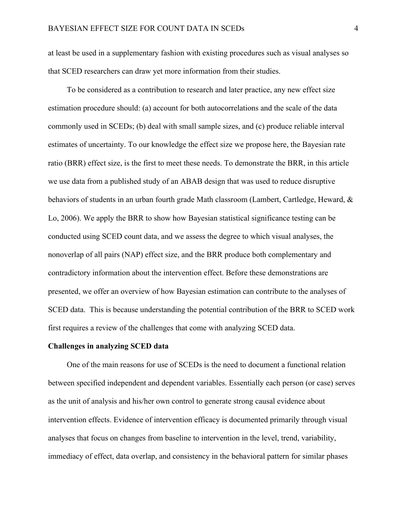at least be used in a supplementary fashion with existing procedures such as visual analyses so that SCED researchers can draw yet more information from their studies.

To be considered as a contribution to research and later practice, any new effect size estimation procedure should: (a) account for both autocorrelations and the scale of the data commonly used in SCEDs; (b) deal with small sample sizes, and (c) produce reliable interval estimates of uncertainty. To our knowledge the effect size we propose here, the Bayesian rate ratio (BRR) effect size, is the first to meet these needs. To demonstrate the BRR, in this article we use data from a published study of an ABAB design that was used to reduce disruptive behaviors of students in an urban fourth grade Math classroom (Lambert, Cartledge, Heward, & Lo, 2006). We apply the BRR to show how Bayesian statistical significance testing can be conducted using SCED count data, and we assess the degree to which visual analyses, the nonoverlap of all pairs (NAP) effect size, and the BRR produce both complementary and contradictory information about the intervention effect. Before these demonstrations are presented, we offer an overview of how Bayesian estimation can contribute to the analyses of SCED data. This is because understanding the potential contribution of the BRR to SCED work first requires a review of the challenges that come with analyzing SCED data.

#### **Challenges in analyzing SCED data**

One of the main reasons for use of SCEDs is the need to document a functional relation between specified independent and dependent variables. Essentially each person (or case) serves as the unit of analysis and his/her own control to generate strong causal evidence about intervention effects. Evidence of intervention efficacy is documented primarily through visual analyses that focus on changes from baseline to intervention in the level, trend, variability, immediacy of effect, data overlap, and consistency in the behavioral pattern for similar phases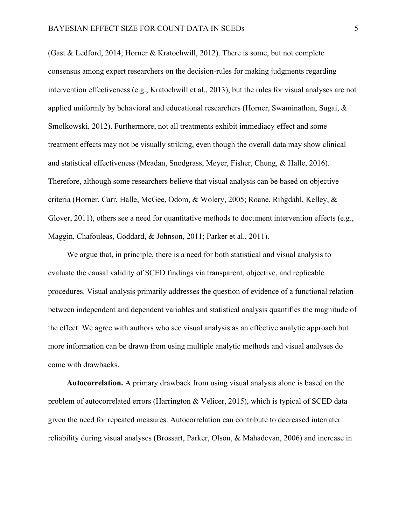(Gast & Ledford, 2014; Horner & Kratochwill, 2012). There is some, but not complete consensus among expert researchers on the decision-rules for making judgments regarding intervention effectiveness (e.g., Kratochwill et al., 2013), but the rules for visual analyses are not applied uniformly by behavioral and educational researchers (Horner, Swaminathan, Sugai, & Smolkowski, 2012). Furthermore, not all treatments exhibit immediacy effect and some treatment effects may not be visually striking, even though the overall data may show clinical and statistical effectiveness (Meadan, Snodgrass, Meyer, Fisher, Chung, & Halle, 2016). Therefore, although some researchers believe that visual analysis can be based on objective criteria (Horner, Carr, Halle, McGee, Odom, & Wolery, 2005; Roane, Rihgdahl, Kelley, & Glover, 2011), others see a need for quantitative methods to document intervention effects (e.g., Maggin, Chafouleas, Goddard, & Johnson, 2011; Parker et al., 2011).

We argue that, in principle, there is a need for both statistical and visual analysis to evaluate the causal validity of SCED findings via transparent, objective, and replicable procedures. Visual analysis primarily addresses the question of evidence of a functional relation between independent and dependent variables and statistical analysis quantifies the magnitude of the effect. We agree with authors who see visual analysis as an effective analytic approach but more information can be drawn from using multiple analytic methods and visual analyses do come with drawbacks.

**Autocorrelation.** A primary drawback from using visual analysis alone is based on the problem of autocorrelated errors (Harrington & Velicer, 2015), which is typical of SCED data given the need for repeated measures. Autocorrelation can contribute to decreased interrater reliability during visual analyses (Brossart, Parker, Olson, & Mahadevan, 2006) and increase in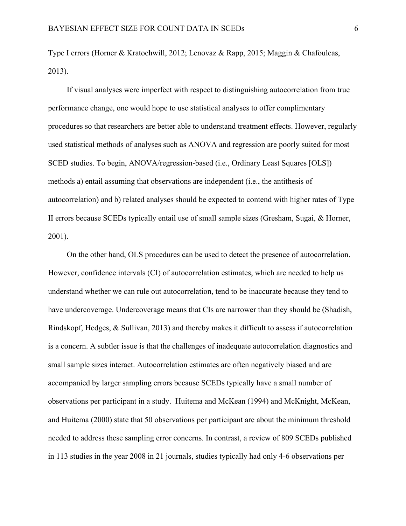Type I errors (Horner & Kratochwill, 2012; Lenovaz & Rapp, 2015; Maggin & Chafouleas, 2013).

If visual analyses were imperfect with respect to distinguishing autocorrelation from true performance change, one would hope to use statistical analyses to offer complimentary procedures so that researchers are better able to understand treatment effects. However, regularly used statistical methods of analyses such as ANOVA and regression are poorly suited for most SCED studies. To begin, ANOVA/regression-based (i.e., Ordinary Least Squares [OLS]) methods a) entail assuming that observations are independent (i.e., the antithesis of autocorrelation) and b) related analyses should be expected to contend with higher rates of Type II errors because SCEDs typically entail use of small sample sizes (Gresham, Sugai, & Horner, 2001).

On the other hand, OLS procedures can be used to detect the presence of autocorrelation. However, confidence intervals (CI) of autocorrelation estimates, which are needed to help us understand whether we can rule out autocorrelation, tend to be inaccurate because they tend to have undercoverage. Undercoverage means that CIs are narrower than they should be (Shadish, Rindskopf, Hedges, & Sullivan, 2013) and thereby makes it difficult to assess if autocorrelation is a concern. A subtler issue is that the challenges of inadequate autocorrelation diagnostics and small sample sizes interact. Autocorrelation estimates are often negatively biased and are accompanied by larger sampling errors because SCEDs typically have a small number of observations per participant in a study. Huitema and McKean (1994) and McKnight, McKean, and Huitema (2000) state that 50 observations per participant are about the minimum threshold needed to address these sampling error concerns. In contrast, a review of 809 SCEDs published in 113 studies in the year 2008 in 21 journals, studies typically had only 4-6 observations per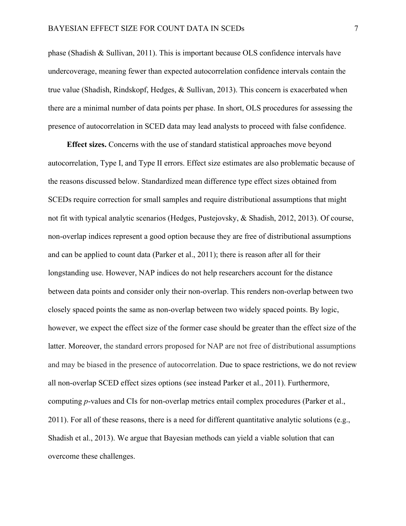phase (Shadish & Sullivan, 2011). This is important because OLS confidence intervals have undercoverage, meaning fewer than expected autocorrelation confidence intervals contain the true value (Shadish, Rindskopf, Hedges, & Sullivan, 2013). This concern is exacerbated when there are a minimal number of data points per phase. In short, OLS procedures for assessing the presence of autocorrelation in SCED data may lead analysts to proceed with false confidence.

**Effect sizes.** Concerns with the use of standard statistical approaches move beyond autocorrelation, Type I, and Type II errors. Effect size estimates are also problematic because of the reasons discussed below. Standardized mean difference type effect sizes obtained from SCEDs require correction for small samples and require distributional assumptions that might not fit with typical analytic scenarios (Hedges, Pustejovsky, & Shadish, 2012, 2013). Of course, non-overlap indices represent a good option because they are free of distributional assumptions and can be applied to count data (Parker et al., 2011); there is reason after all for their longstanding use. However, NAP indices do not help researchers account for the distance between data points and consider only their non-overlap. This renders non-overlap between two closely spaced points the same as non-overlap between two widely spaced points. By logic, however, we expect the effect size of the former case should be greater than the effect size of the latter. Moreover, the standard errors proposed for NAP are not free of distributional assumptions and may be biased in the presence of autocorrelation. Due to space restrictions, we do not review all non-overlap SCED effect sizes options (see instead Parker et al., 2011). Furthermore, computing *p*-values and CIs for non-overlap metrics entail complex procedures (Parker et al., 2011). For all of these reasons, there is a need for different quantitative analytic solutions (e.g., Shadish et al., 2013). We argue that Bayesian methods can yield a viable solution that can overcome these challenges.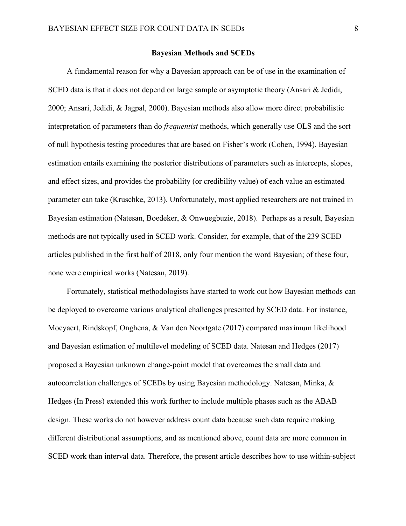## **Bayesian Methods and SCEDs**

A fundamental reason for why a Bayesian approach can be of use in the examination of SCED data is that it does not depend on large sample or asymptotic theory (Ansari & Jedidi, 2000; Ansari, Jedidi, & Jagpal, 2000). Bayesian methods also allow more direct probabilistic interpretation of parameters than do *frequentist* methods, which generally use OLS and the sort of null hypothesis testing procedures that are based on Fisher's work (Cohen, 1994). Bayesian estimation entails examining the posterior distributions of parameters such as intercepts, slopes, and effect sizes, and provides the probability (or credibility value) of each value an estimated parameter can take (Kruschke, 2013). Unfortunately, most applied researchers are not trained in Bayesian estimation (Natesan, Boedeker, & Onwuegbuzie, 2018). Perhaps as a result, Bayesian methods are not typically used in SCED work. Consider, for example, that of the 239 SCED articles published in the first half of 2018, only four mention the word Bayesian; of these four, none were empirical works (Natesan, 2019).

Fortunately, statistical methodologists have started to work out how Bayesian methods can be deployed to overcome various analytical challenges presented by SCED data. For instance, Moeyaert, Rindskopf, Onghena, & Van den Noortgate (2017) compared maximum likelihood and Bayesian estimation of multilevel modeling of SCED data. Natesan and Hedges (2017) proposed a Bayesian unknown change-point model that overcomes the small data and autocorrelation challenges of SCEDs by using Bayesian methodology. Natesan, Minka, & Hedges (In Press) extended this work further to include multiple phases such as the ABAB design. These works do not however address count data because such data require making different distributional assumptions, and as mentioned above, count data are more common in SCED work than interval data. Therefore, the present article describes how to use within-subject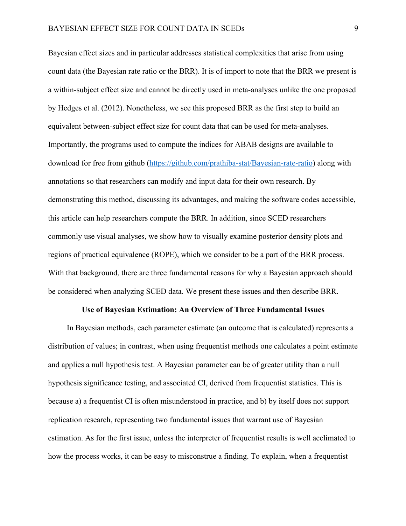Bayesian effect sizes and in particular addresses statistical complexities that arise from using count data (the Bayesian rate ratio or the BRR). It is of import to note that the BRR we present is a within-subject effect size and cannot be directly used in meta-analyses unlike the one proposed by Hedges et al. (2012). Nonetheless, we see this proposed BRR as the first step to build an equivalent between-subject effect size for count data that can be used for meta-analyses. Importantly, the programs used to compute the indices for ABAB designs are available to download for free from github (https://github.com/prathiba-stat/Bayesian-rate-ratio) along with annotations so that researchers can modify and input data for their own research. By demonstrating this method, discussing its advantages, and making the software codes accessible, this article can help researchers compute the BRR. In addition, since SCED researchers commonly use visual analyses, we show how to visually examine posterior density plots and regions of practical equivalence (ROPE), which we consider to be a part of the BRR process. With that background, there are three fundamental reasons for why a Bayesian approach should be considered when analyzing SCED data. We present these issues and then describe BRR.

#### **Use of Bayesian Estimation: An Overview of Three Fundamental Issues**

In Bayesian methods, each parameter estimate (an outcome that is calculated) represents a distribution of values; in contrast, when using frequentist methods one calculates a point estimate and applies a null hypothesis test. A Bayesian parameter can be of greater utility than a null hypothesis significance testing, and associated CI, derived from frequentist statistics. This is because a) a frequentist CI is often misunderstood in practice, and b) by itself does not support replication research, representing two fundamental issues that warrant use of Bayesian estimation. As for the first issue, unless the interpreter of frequentist results is well acclimated to how the process works, it can be easy to misconstrue a finding. To explain, when a frequentist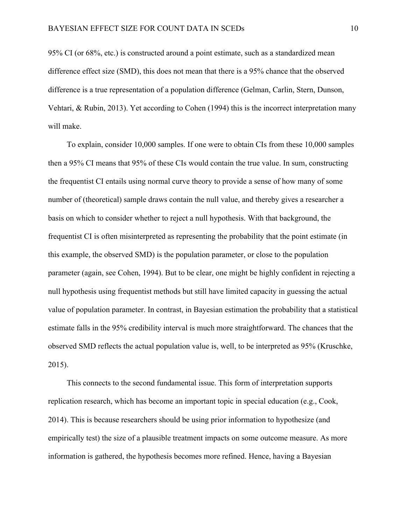95% CI (or 68%, etc.) is constructed around a point estimate, such as a standardized mean difference effect size (SMD), this does not mean that there is a 95% chance that the observed difference is a true representation of a population difference (Gelman, Carlin, Stern, Dunson, Vehtari, & Rubin, 2013). Yet according to Cohen (1994) this is the incorrect interpretation many will make.

To explain, consider 10,000 samples. If one were to obtain CIs from these 10,000 samples then a 95% CI means that 95% of these CIs would contain the true value. In sum, constructing the frequentist CI entails using normal curve theory to provide a sense of how many of some number of (theoretical) sample draws contain the null value, and thereby gives a researcher a basis on which to consider whether to reject a null hypothesis. With that background, the frequentist CI is often misinterpreted as representing the probability that the point estimate (in this example, the observed SMD) is the population parameter, or close to the population parameter (again, see Cohen, 1994). But to be clear, one might be highly confident in rejecting a null hypothesis using frequentist methods but still have limited capacity in guessing the actual value of population parameter. In contrast, in Bayesian estimation the probability that a statistical estimate falls in the 95% credibility interval is much more straightforward. The chances that the observed SMD reflects the actual population value is, well, to be interpreted as 95% (Kruschke, 2015).

This connects to the second fundamental issue. This form of interpretation supports replication research, which has become an important topic in special education (e.g., Cook, 2014). This is because researchers should be using prior information to hypothesize (and empirically test) the size of a plausible treatment impacts on some outcome measure. As more information is gathered, the hypothesis becomes more refined. Hence, having a Bayesian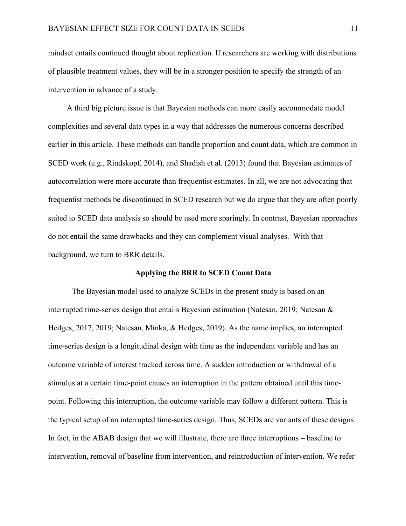mindset entails continued thought about replication. If researchers are working with distributions of plausible treatment values, they will be in a stronger position to specify the strength of an intervention in advance of a study.

A third big picture issue is that Bayesian methods can more easily accommodate model complexities and several data types in a way that addresses the numerous concerns described earlier in this article. These methods can handle proportion and count data, which are common in SCED work (e.g., Rindskopf, 2014), and Shadish et al. (2013) found that Bayesian estimates of autocorrelation were more accurate than frequentist estimates. In all, we are not advocating that frequentist methods be discontinued in SCED research but we do argue that they are often poorly suited to SCED data analysis so should be used more sparingly. In contrast, Bayesian approaches do not entail the same drawbacks and they can complement visual analyses. With that background, we turn to BRR details.

#### **Applying the BRR to SCED Count Data**

The Bayesian model used to analyze SCEDs in the present study is based on an interrupted time-series design that entails Bayesian estimation (Natesan, 2019; Natesan & Hedges, 2017, 2019; Natesan, Minka, & Hedges, 2019). As the name implies, an interrupted time-series design is a longitudinal design with time as the independent variable and has an outcome variable of interest tracked across time. A sudden introduction or withdrawal of a stimulus at a certain time-point causes an interruption in the pattern obtained until this timepoint. Following this interruption, the outcome variable may follow a different pattern. This is the typical setup of an interrupted time-series design. Thus, SCEDs are variants of these designs. In fact, in the ABAB design that we will illustrate, there are three interruptions – baseline to intervention, removal of baseline from intervention, and reintroduction of intervention. We refer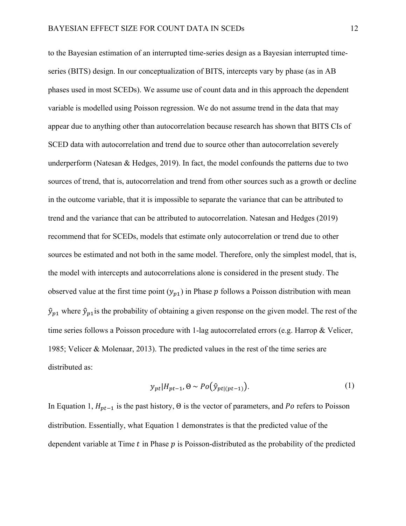to the Bayesian estimation of an interrupted time-series design as a Bayesian interrupted timeseries (BITS) design. In our conceptualization of BITS, intercepts vary by phase (as in AB phases used in most SCEDs). We assume use of count data and in this approach the dependent variable is modelled using Poisson regression. We do not assume trend in the data that may appear due to anything other than autocorrelation because research has shown that BITS CIs of SCED data with autocorrelation and trend due to source other than autocorrelation severely underperform (Natesan  $\&$  Hedges, 2019). In fact, the model confounds the patterns due to two sources of trend, that is, autocorrelation and trend from other sources such as a growth or decline in the outcome variable, that it is impossible to separate the variance that can be attributed to trend and the variance that can be attributed to autocorrelation. Natesan and Hedges (2019) recommend that for SCEDs, models that estimate only autocorrelation or trend due to other sources be estimated and not both in the same model. Therefore, only the simplest model, that is, the model with intercepts and autocorrelations alone is considered in the present study. The observed value at the first time point  $(y_{p1})$  in Phase p follows a Poisson distribution with mean  $\hat{y}_{p1}$  where  $\hat{y}_{p1}$  is the probability of obtaining a given response on the given model. The rest of the time series follows a Poisson procedure with 1-lag autocorrelated errors (e.g. Harrop & Velicer, 1985; Velicer & Molenaar, 2013). The predicted values in the rest of the time series are distributed as:

$$
y_{pt}|H_{pt-1}, \Theta \sim Po(\hat{y}_{pt|(pt-1)}).
$$
 (1)

In Equation 1,  $H_{pt-1}$  is the past history,  $\Theta$  is the vector of parameters, and Po refers to Poisson distribution. Essentially, what Equation 1 demonstrates is that the predicted value of the dependent variable at Time  $t$  in Phase  $p$  is Poisson-distributed as the probability of the predicted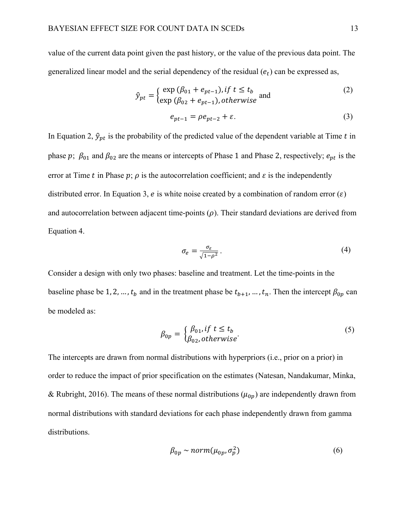value of the current data point given the past history, or the value of the previous data point. The generalized linear model and the serial dependency of the residual  $(e_t)$  can be expressed as,

$$
\hat{y}_{pt} = \begin{cases}\n\exp\left(\beta_{01} + e_{pt-1}\right), & \text{if } t \le t_b \\
\exp\left(\beta_{02} + e_{pt-1}\right), & \text{otherwise}\n\end{cases} \tag{2}
$$

$$
e_{pt-1} = \rho e_{pt-2} + \varepsilon. \tag{3}
$$

In Equation 2,  $\hat{y}_{pt}$  is the probability of the predicted value of the dependent variable at Time t in phase p;  $\beta_{01}$  and  $\beta_{02}$  are the means or intercepts of Phase 1 and Phase 2, respectively;  $e_{pt}$  is the error at Time t in Phase  $p$ ;  $\rho$  is the autocorrelation coefficient; and  $\varepsilon$  is the independently distributed error. In Equation 3, e is white noise created by a combination of random error  $(\varepsilon)$ and autocorrelation between adjacent time-points  $(\rho)$ . Their standard deviations are derived from Equation 4.

$$
\sigma_e = \frac{\sigma_\varepsilon}{\sqrt{1 - \rho^2}} \,. \tag{4}
$$

Consider a design with only two phases: baseline and treatment. Let the time-points in the baseline phase be 1, 2, ...,  $t_b$  and in the treatment phase be  $t_{b+1}$ , ...,  $t_n$ . Then the intercept  $\beta_{0p}$  can be modeled as:

$$
\beta_{0p} = \begin{cases} \beta_{01}, & \text{if } t \le t_b \\ \beta_{02}, & \text{otherwise} \end{cases}
$$
\n
$$
(5)
$$

The intercepts are drawn from normal distributions with hyperpriors (i.e., prior on a prior) in order to reduce the impact of prior specification on the estimates (Natesan, Nandakumar, Minka, & Rubright, 2016). The means of these normal distributions ( $\mu_{0p}$ ) are independently drawn from normal distributions with standard deviations for each phase independently drawn from gamma distributions.

$$
\beta_{0p} \sim norm(\mu_{0p}, \sigma_p^2) \tag{6}
$$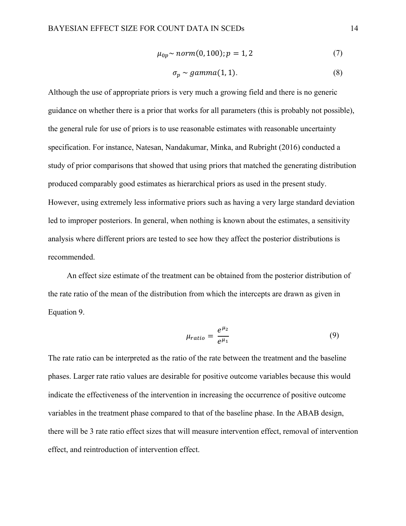$$
\mu_{0p} \sim norm(0, 100); p = 1, 2 \tag{7}
$$

$$
\sigma_p \sim gamma(1, 1). \tag{8}
$$

Although the use of appropriate priors is very much a growing field and there is no generic guidance on whether there is a prior that works for all parameters (this is probably not possible), the general rule for use of priors is to use reasonable estimates with reasonable uncertainty specification. For instance, Natesan, Nandakumar, Minka, and Rubright (2016) conducted a study of prior comparisons that showed that using priors that matched the generating distribution produced comparably good estimates as hierarchical priors as used in the present study. However, using extremely less informative priors such as having a very large standard deviation led to improper posteriors. In general, when nothing is known about the estimates, a sensitivity analysis where different priors are tested to see how they affect the posterior distributions is recommended.

An effect size estimate of the treatment can be obtained from the posterior distribution of the rate ratio of the mean of the distribution from which the intercepts are drawn as given in Equation 9.

$$
\mu_{ratio} = \frac{e^{\mu_2}}{e^{\mu_1}}\tag{9}
$$

The rate ratio can be interpreted as the ratio of the rate between the treatment and the baseline phases. Larger rate ratio values are desirable for positive outcome variables because this would indicate the effectiveness of the intervention in increasing the occurrence of positive outcome variables in the treatment phase compared to that of the baseline phase. In the ABAB design, there will be 3 rate ratio effect sizes that will measure intervention effect, removal of intervention effect, and reintroduction of intervention effect.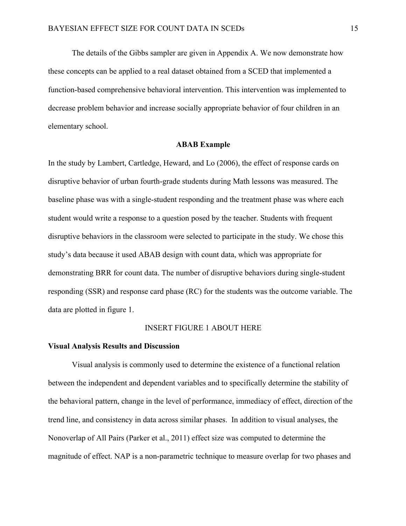The details of the Gibbs sampler are given in Appendix A. We now demonstrate how these concepts can be applied to a real dataset obtained from a SCED that implemented a function-based comprehensive behavioral intervention. This intervention was implemented to decrease problem behavior and increase socially appropriate behavior of four children in an elementary school.

#### **ABAB Example**

In the study by Lambert, Cartledge, Heward, and Lo (2006), the effect of response cards on disruptive behavior of urban fourth-grade students during Math lessons was measured. The baseline phase was with a single-student responding and the treatment phase was where each student would write a response to a question posed by the teacher. Students with frequent disruptive behaviors in the classroom were selected to participate in the study. We chose this study's data because it used ABAB design with count data, which was appropriate for demonstrating BRR for count data. The number of disruptive behaviors during single-student responding (SSR) and response card phase (RC) for the students was the outcome variable. The data are plotted in figure 1.

#### INSERT FIGURE 1 ABOUT HERE

#### **Visual Analysis Results and Discussion**

Visual analysis is commonly used to determine the existence of a functional relation between the independent and dependent variables and to specifically determine the stability of the behavioral pattern, change in the level of performance, immediacy of effect, direction of the trend line, and consistency in data across similar phases. In addition to visual analyses, the Nonoverlap of All Pairs (Parker et al., 2011) effect size was computed to determine the magnitude of effect. NAP is a non-parametric technique to measure overlap for two phases and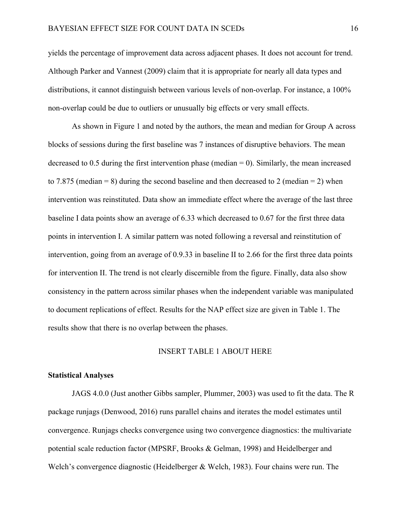yields the percentage of improvement data across adjacent phases. It does not account for trend. Although Parker and Vannest (2009) claim that it is appropriate for nearly all data types and distributions, it cannot distinguish between various levels of non-overlap. For instance, a 100% non-overlap could be due to outliers or unusually big effects or very small effects.

As shown in Figure 1 and noted by the authors, the mean and median for Group A across blocks of sessions during the first baseline was 7 instances of disruptive behaviors. The mean decreased to  $0.5$  during the first intervention phase (median  $= 0$ ). Similarly, the mean increased to 7.875 (median = 8) during the second baseline and then decreased to 2 (median = 2) when intervention was reinstituted. Data show an immediate effect where the average of the last three baseline I data points show an average of 6.33 which decreased to 0.67 for the first three data points in intervention I. A similar pattern was noted following a reversal and reinstitution of intervention, going from an average of 0.9.33 in baseline II to 2.66 for the first three data points for intervention II. The trend is not clearly discernible from the figure. Finally, data also show consistency in the pattern across similar phases when the independent variable was manipulated to document replications of effect. Results for the NAP effect size are given in Table 1. The results show that there is no overlap between the phases.

## INSERT TABLE 1 ABOUT HERE

#### **Statistical Analyses**

JAGS 4.0.0 (Just another Gibbs sampler, Plummer, 2003) was used to fit the data. The R package runjags (Denwood, 2016) runs parallel chains and iterates the model estimates until convergence. Runjags checks convergence using two convergence diagnostics: the multivariate potential scale reduction factor (MPSRF, Brooks & Gelman, 1998) and Heidelberger and Welch's convergence diagnostic (Heidelberger & Welch, 1983). Four chains were run. The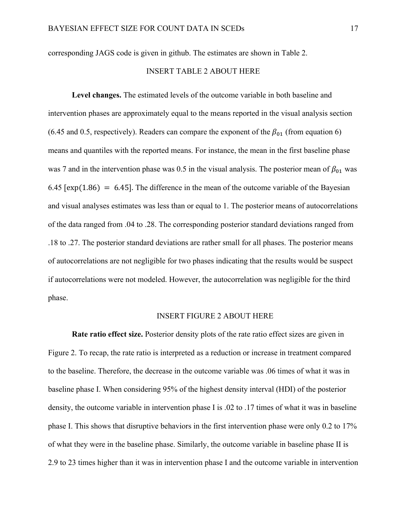corresponding JAGS code is given in github. The estimates are shown in Table 2.

# INSERT TABLE 2 ABOUT HERE

**Level changes.** The estimated levels of the outcome variable in both baseline and intervention phases are approximately equal to the means reported in the visual analysis section (6.45 and 0.5, respectively). Readers can compare the exponent of the  $\beta_{01}$  (from equation 6) means and quantiles with the reported means. For instance, the mean in the first baseline phase was 7 and in the intervention phase was 0.5 in the visual analysis. The posterior mean of  $\beta_{01}$  was 6.45 [ $exp(1.86) = 6.45$ ]. The difference in the mean of the outcome variable of the Bayesian and visual analyses estimates was less than or equal to 1. The posterior means of autocorrelations of the data ranged from .04 to .28. The corresponding posterior standard deviations ranged from .18 to .27. The posterior standard deviations are rather small for all phases. The posterior means of autocorrelations are not negligible for two phases indicating that the results would be suspect if autocorrelations were not modeled. However, the autocorrelation was negligible for the third phase.

## INSERT FIGURE 2 ABOUT HERE

**Rate ratio effect size.** Posterior density plots of the rate ratio effect sizes are given in Figure 2. To recap, the rate ratio is interpreted as a reduction or increase in treatment compared to the baseline. Therefore, the decrease in the outcome variable was .06 times of what it was in baseline phase I. When considering 95% of the highest density interval (HDI) of the posterior density, the outcome variable in intervention phase I is .02 to .17 times of what it was in baseline phase I. This shows that disruptive behaviors in the first intervention phase were only 0.2 to 17% of what they were in the baseline phase. Similarly, the outcome variable in baseline phase II is 2.9 to 23 times higher than it was in intervention phase I and the outcome variable in intervention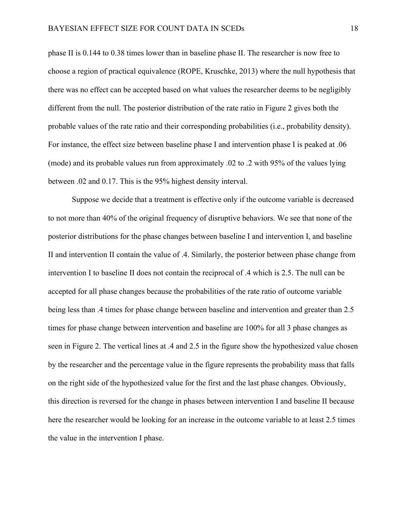phase II is 0.144 to 0.38 times lower than in baseline phase II. The researcher is now free to choose a region of practical equivalence (ROPE, Kruschke, 2013) where the null hypothesis that there was no effect can be accepted based on what values the researcher deems to be negligibly different from the null. The posterior distribution of the rate ratio in Figure 2 gives both the probable values of the rate ratio and their corresponding probabilities (i.e., probability density). For instance, the effect size between baseline phase I and intervention phase I is peaked at .06 (mode) and its probable values run from approximately .02 to .2 with 95% of the values lying between .02 and 0.17. This is the 95% highest density interval.

Suppose we decide that a treatment is effective only if the outcome variable is decreased to not more than 40% of the original frequency of disruptive behaviors. We see that none of the posterior distributions for the phase changes between baseline I and intervention I, and baseline II and intervention II contain the value of .4. Similarly, the posterior between phase change from intervention I to baseline II does not contain the reciprocal of .4 which is 2.5. The null can be accepted for all phase changes because the probabilities of the rate ratio of outcome variable being less than .4 times for phase change between baseline and intervention and greater than 2.5 times for phase change between intervention and baseline are 100% for all 3 phase changes as seen in Figure 2. The vertical lines at .4 and 2.5 in the figure show the hypothesized value chosen by the researcher and the percentage value in the figure represents the probability mass that falls on the right side of the hypothesized value for the first and the last phase changes. Obviously, this direction is reversed for the change in phases between intervention I and baseline II because here the researcher would be looking for an increase in the outcome variable to at least 2.5 times the value in the intervention I phase.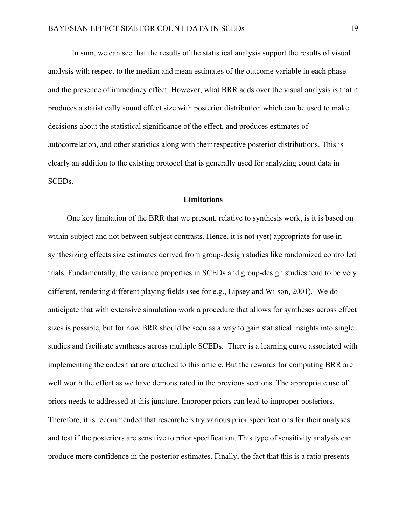In sum, we can see that the results of the statistical analysis support the results of visual analysis with respect to the median and mean estimates of the outcome variable in each phase and the presence of immediacy effect. However, what BRR adds over the visual analysis is that it produces a statistically sound effect size with posterior distribution which can be used to make decisions about the statistical significance of the effect, and produces estimates of autocorrelation, and other statistics along with their respective posterior distributions. This is clearly an addition to the existing protocol that is generally used for analyzing count data in SCEDs.

#### **Limitations**

One key limitation of the BRR that we present, relative to synthesis work, is it is based on within-subject and not between subject contrasts. Hence, it is not (yet) appropriate for use in synthesizing effects size estimates derived from group-design studies like randomized controlled trials. Fundamentally, the variance properties in SCEDs and group-design studies tend to be very different, rendering different playing fields (see for e.g., Lipsey and Wilson, 2001). We do anticipate that with extensive simulation work a procedure that allows for syntheses across effect sizes is possible, but for now BRR should be seen as a way to gain statistical insights into single studies and facilitate syntheses across multiple SCEDs. There is a learning curve associated with implementing the codes that are attached to this article. But the rewards for computing BRR are well worth the effort as we have demonstrated in the previous sections. The appropriate use of priors needs to addressed at this juncture. Improper priors can lead to improper posteriors. Therefore, it is recommended that researchers try various prior specifications for their analyses and test if the posteriors are sensitive to prior specification. This type of sensitivity analysis can produce more confidence in the posterior estimates. Finally, the fact that this is a ratio presents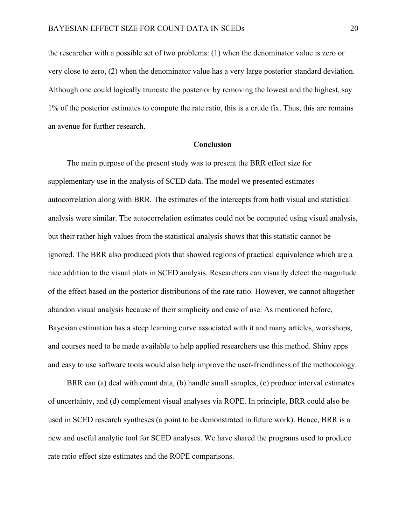the researcher with a possible set of two problems: (1) when the denominator value is zero or very close to zero, (2) when the denominator value has a very large posterior standard deviation. Although one could logically truncate the posterior by removing the lowest and the highest, say 1% of the posterior estimates to compute the rate ratio, this is a crude fix. Thus, this are remains an avenue for further research.

#### **Conclusion**

The main purpose of the present study was to present the BRR effect size for supplementary use in the analysis of SCED data. The model we presented estimates autocorrelation along with BRR. The estimates of the intercepts from both visual and statistical analysis were similar. The autocorrelation estimates could not be computed using visual analysis, but their rather high values from the statistical analysis shows that this statistic cannot be ignored. The BRR also produced plots that showed regions of practical equivalence which are a nice addition to the visual plots in SCED analysis. Researchers can visually detect the magnitude of the effect based on the posterior distributions of the rate ratio. However, we cannot altogether abandon visual analysis because of their simplicity and ease of use. As mentioned before, Bayesian estimation has a steep learning curve associated with it and many articles, workshops, and courses need to be made available to help applied researchers use this method. Shiny apps and easy to use software tools would also help improve the user-friendliness of the methodology.

BRR can (a) deal with count data, (b) handle small samples, (c) produce interval estimates of uncertainty, and (d) complement visual analyses via ROPE. In principle, BRR could also be used in SCED research syntheses (a point to be demonstrated in future work). Hence, BRR is a new and useful analytic tool for SCED analyses. We have shared the programs used to produce rate ratio effect size estimates and the ROPE comparisons.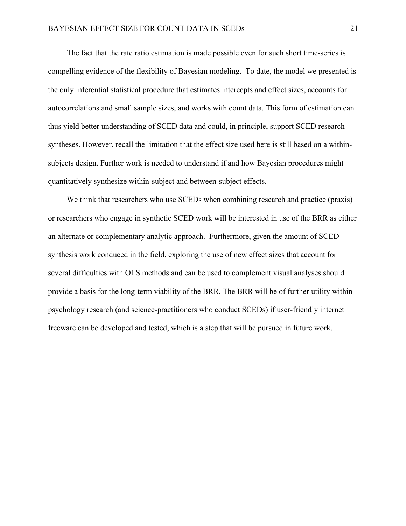The fact that the rate ratio estimation is made possible even for such short time-series is compelling evidence of the flexibility of Bayesian modeling. To date, the model we presented is the only inferential statistical procedure that estimates intercepts and effect sizes, accounts for autocorrelations and small sample sizes, and works with count data. This form of estimation can thus yield better understanding of SCED data and could, in principle, support SCED research syntheses. However, recall the limitation that the effect size used here is still based on a withinsubjects design. Further work is needed to understand if and how Bayesian procedures might quantitatively synthesize within-subject and between-subject effects.

We think that researchers who use SCEDs when combining research and practice (praxis) or researchers who engage in synthetic SCED work will be interested in use of the BRR as either an alternate or complementary analytic approach. Furthermore, given the amount of SCED synthesis work conduced in the field, exploring the use of new effect sizes that account for several difficulties with OLS methods and can be used to complement visual analyses should provide a basis for the long-term viability of the BRR. The BRR will be of further utility within psychology research (and science-practitioners who conduct SCEDs) if user-friendly internet freeware can be developed and tested, which is a step that will be pursued in future work.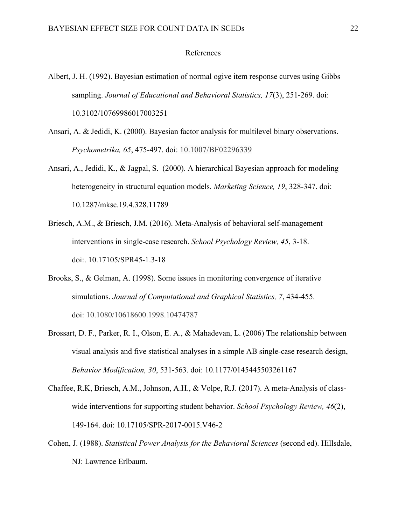## References

- Albert, J. H. (1992). Bayesian estimation of normal ogive item response curves using Gibbs sampling. *Journal of Educational and Behavioral Statistics, 17*(3), 251-269. doi: 10.3102/10769986017003251
- Ansari, A. & Jedidi, K. (2000). Bayesian factor analysis for multilevel binary observations. *Psychometrika, 65*, 475-497. doi: 10.1007/BF02296339
- Ansari, A., Jedidi, K., & Jagpal, S. (2000). A hierarchical Bayesian approach for modeling heterogeneity in structural equation models. *Marketing Science, 19*, 328-347. doi: 10.1287/mksc.19.4.328.11789
- Briesch, A.M., & Briesch, J.M. (2016). Meta-Analysis of behavioral self-management interventions in single-case research. *School Psychology Review, 45*, 3-18. doi:. 10.17105/SPR45-1.3-18
- Brooks, S., & Gelman, A. (1998). Some issues in monitoring convergence of iterative simulations. *Journal of Computational and Graphical Statistics, 7*, 434-455. doi: 10.1080/10618600.1998.10474787
- Brossart, D. F., Parker, R. I., Olson, E. A., & Mahadevan, L. (2006) The relationship between visual analysis and five statistical analyses in a simple AB single-case research design, *Behavior Modification, 30*, 531-563. doi: 10.1177/0145445503261167
- Chaffee, R.K, Briesch, A.M., Johnson, A.H., & Volpe, R.J. (2017). A meta-Analysis of classwide interventions for supporting student behavior. *School Psychology Review, 46*(2), 149-164. doi: 10.17105/SPR-2017-0015.V46-2
- Cohen, J. (1988). *Statistical Power Analysis for the Behavioral Sciences* (second ed). Hillsdale, NJ: Lawrence Erlbaum.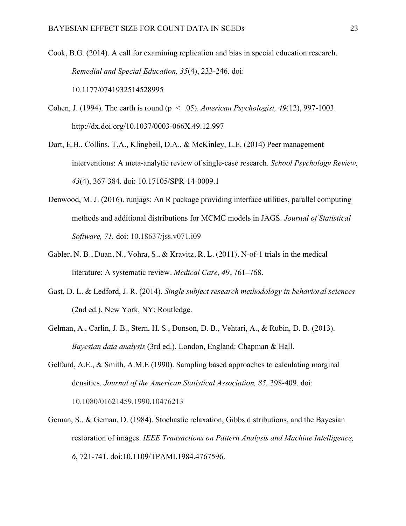Cook, B.G. (2014). A call for examining replication and bias in special education research. *Remedial and Special Education, 35*(4), 233-246. doi: 10.1177/0741932514528995

- Cohen, J. (1994). The earth is round (p < .05). *American Psychologist, 49*(12), 997-1003. http://dx.doi.org/10.1037/0003-066X.49.12.997
- Dart, E.H., Collins, T.A., Klingbeil, D.A., & McKinley, L.E. (2014) Peer management interventions: A meta-analytic review of single-case research. *School Psychology Review, 43*(4), 367-384. doi: 10.17105/SPR-14-0009.1
- Denwood, M. J. (2016). runjags: An R package providing interface utilities, parallel computing methods and additional distributions for MCMC models in JAGS. *Journal of Statistical Software, 71.* doi: 10.18637/jss.v071.i09
- Gabler, N. B., Duan, N., Vohra, S., & Kravitz, R. L. (2011). N-of-1 trials in the medical literature: A systematic review. *Medical Care, 49*, 761–768.
- Gast, D. L. & Ledford, J. R. (2014). *Single subject research methodology in behavioral sciences* (2nd ed.). New York, NY: Routledge.
- Gelman, A., Carlin, J. B., Stern, H. S., Dunson, D. B., Vehtari, A., & Rubin, D. B. (2013). *Bayesian data analysis* (3rd ed.). London, England: Chapman & Hall.
- Gelfand, A.E., & Smith, A.M.E (1990). Sampling based approaches to calculating marginal densities. *Journal of the American Statistical Association, 85,* 398-409. doi: 10.1080/01621459.1990.10476213
- Geman, S., & Geman, D. (1984). Stochastic relaxation, Gibbs distributions, and the Bayesian restoration of images. *IEEE Transactions on Pattern Analysis and Machine Intelligence, 6*, 721-741. doi:10.1109/TPAMI.1984.4767596.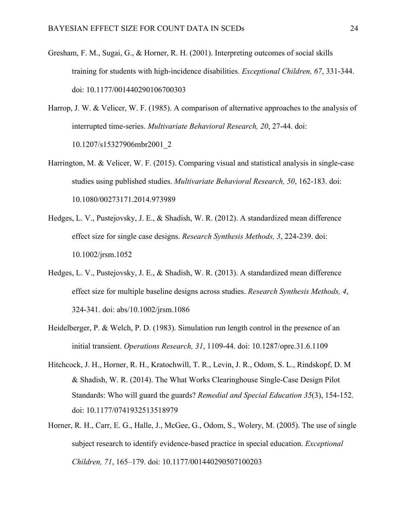- Gresham, F. M., Sugai, G., & Horner, R. H. (2001). Interpreting outcomes of social skills training for students with high-incidence disabilities. *Exceptional Children, 67*, 331-344. doi: 10.1177/001440290106700303
- Harrop, J. W. & Velicer, W. F. (1985). A comparison of alternative approaches to the analysis of interrupted time-series. *Multivariate Behavioral Research, 20*, 27-44. doi: 10.1207/s15327906mbr2001\_2
- Harrington, M. & Velicer, W. F. (2015). Comparing visual and statistical analysis in single-case studies using published studies. *Multivariate Behavioral Research, 50*, 162-183. doi: 10.1080/00273171.2014.973989
- Hedges, L. V., Pustejovsky, J. E., & Shadish, W. R. (2012). A standardized mean difference effect size for single case designs. *Research Synthesis Methods, 3*, 224-239. doi: 10.1002/jrsm.1052
- Hedges, L. V., Pustejovsky, J. E., & Shadish, W. R. (2013). A standardized mean difference effect size for multiple baseline designs across studies. *Research Synthesis Methods, 4*, 324-341. doi: abs/10.1002/jrsm.1086
- Heidelberger, P. & Welch, P. D. (1983). Simulation run length control in the presence of an initial transient. *Operations Research, 31*, 1109-44. doi: 10.1287/opre.31.6.1109
- Hitchcock, J. H., Horner, R. H., Kratochwill, T. R., Levin, J. R., Odom, S. L., Rindskopf, D. M & Shadish, W. R. (2014). The What Works Clearinghouse Single-Case Design Pilot Standards: Who will guard the guards? *Remedial and Special Education 35*(3), 154-152. doi: 10.1177/0741932513518979
- Horner, R. H., Carr, E. G., Halle, J., McGee, G., Odom, S., Wolery, M. (2005). The use of single subject research to identify evidence-based practice in special education. *Exceptional Children, 71*, 165–179. doi: 10.1177/001440290507100203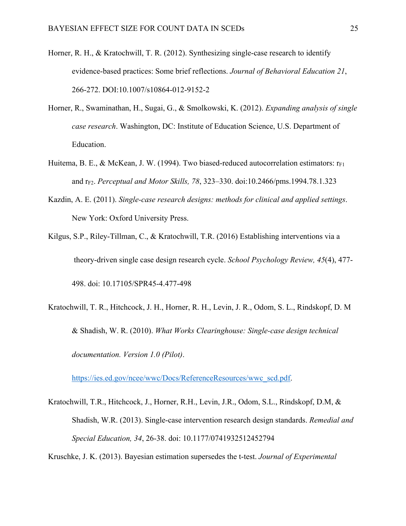- Horner, R. H., & Kratochwill, T. R. (2012). Synthesizing single-case research to identify evidence-based practices: Some brief reflections. *Journal of Behavioral Education 21*, 266-272. DOI:10.1007/s10864-012-9152-2
- Horner, R., Swaminathan, H., Sugai, G., & Smolkowski, K. (2012). *Expanding analysis of single case research*. Washington, DC: Institute of Education Science, U.S. Department of Education.
- Huitema, B. E., & McKean, J. W. (1994). Two biased-reduced autocorrelation estimators:  $r_{F1}$ and rF2. *Perceptual and Motor Skills, 78*, 323–330. doi:10.2466/pms.1994.78.1.323
- Kazdin, A. E. (2011). *Single-case research designs: methods for clinical and applied settings*. New York: Oxford University Press.
- Kilgus, S.P., Riley-Tillman, C., & Kratochwill, T.R. (2016) Establishing interventions via a theory-driven single case design research cycle. *School Psychology Review, 45*(4), 477- 498. doi: 10.17105/SPR45-4.477-498
- Kratochwill, T. R., Hitchcock, J. H., Horner, R. H., Levin, J. R., Odom, S. L., Rindskopf, D. M & Shadish, W. R. (2010). *What Works Clearinghouse: Single-case design technical documentation. Version 1.0 (Pilot)*.

https://ies.ed.gov/ncee/wwc/Docs/ReferenceResources/wwc\_scd.pdf.

Kratochwill, T.R., Hitchcock, J., Horner, R.H., Levin, J.R., Odom, S.L., Rindskopf, D.M, & Shadish, W.R. (2013). Single-case intervention research design standards. *Remedial and Special Education, 34*, 26-38. doi: 10.1177/0741932512452794

Kruschke, J. K. (2013). Bayesian estimation supersedes the t-test. *Journal of Experimental*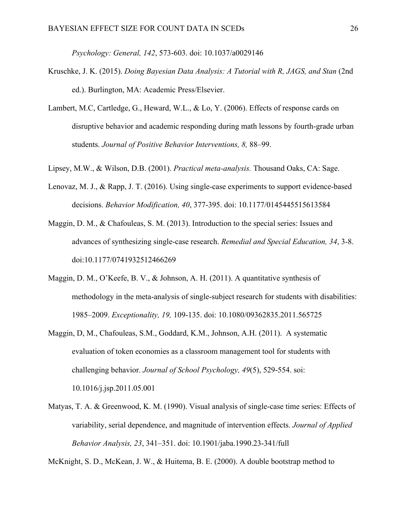*Psychology: General, 142*, 573-603. doi: 10.1037/a0029146

- Kruschke, J. K. (2015). *Doing Bayesian Data Analysis: A Tutorial with R, JAGS, and Stan* (2nd) ed.). Burlington, MA: Academic Press/Elsevier.
- Lambert, M.C, Cartledge, G., Heward, W.L., & Lo, Y. (2006). Effects of response cards on disruptive behavior and academic responding during math lessons by fourth-grade urban students. *Journal of Positive Behavior Interventions, 8,* 88–99.
- Lipsey, M.W., & Wilson, D.B. (2001). *Practical meta-analysis.* Thousand Oaks, CA: Sage.
- Lenovaz, M. J., & Rapp, J. T. (2016). Using single-case experiments to support evidence-based decisions. *Behavior Modification, 40*, 377-395. doi: 10.1177/0145445515613584
- Maggin, D. M., & Chafouleas, S. M. (2013). Introduction to the special series: Issues and advances of synthesizing single-case research. *Remedial and Special Education, 34*, 3-8. doi:10.1177/0741932512466269
- Maggin, D. M., O'Keefe, B. V., & Johnson, A. H. (2011). A quantitative synthesis of methodology in the meta-analysis of single-subject research for students with disabilities: 1985–2009. *Exceptionality, 19,* 109-135. doi: 10.1080/09362835.2011.565725
- Maggin, D, M., Chafouleas, S.M., Goddard, K.M., Johnson, A.H. (2011). A systematic evaluation of token economies as a classroom management tool for students with challenging behavior. *Journal of School Psychology, 49*(5), 529-554. soi: 10.1016/j.jsp.2011.05.001
- Matyas, T. A. & Greenwood, K. M. (1990). Visual analysis of single-case time series: Effects of variability, serial dependence, and magnitude of intervention effects. *Journal of Applied Behavior Analysis, 23*, 341–351. doi: 10.1901/jaba.1990.23-341/full

McKnight, S. D., McKean, J. W., & Huitema, B. E. (2000). A double bootstrap method to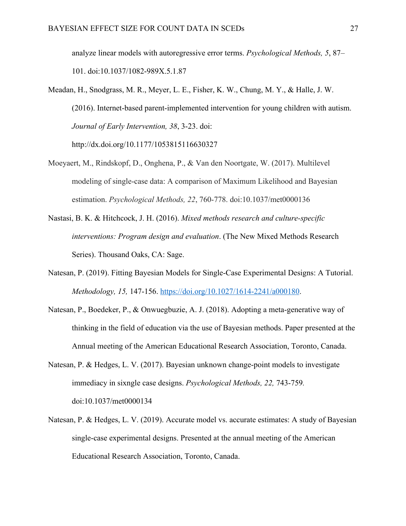analyze linear models with autoregressive error terms. *Psychological Methods, 5*, 87– 101. doi:10.1037/1082-989X.5.1.87

Meadan, H., Snodgrass, M. R., Meyer, L. E., Fisher, K. W., Chung, M. Y., & Halle, J. W. (2016). Internet-based parent-implemented intervention for young children with autism. *Journal of Early Intervention, 38*, 3-23. doi:

http://dx.doi.org/10.1177/1053815116630327

- Moeyaert, M., Rindskopf, D., Onghena, P., & Van den Noortgate, W. (2017). Multilevel modeling of single-case data: A comparison of Maximum Likelihood and Bayesian estimation. *Psychological Methods, 22*, 760-778. doi:10.1037/met0000136
- Nastasi, B. K. & Hitchcock, J. H. (2016). *Mixed methods research and culture-specific interventions: Program design and evaluation*. (The New Mixed Methods Research Series). Thousand Oaks, CA: Sage.
- Natesan, P. (2019). Fitting Bayesian Models for Single-Case Experimental Designs: A Tutorial. *Methodology, 15,* 147-156. https://doi.org/10.1027/1614-2241/a000180.
- Natesan, P., Boedeker, P., & Onwuegbuzie, A. J. (2018). Adopting a meta-generative way of thinking in the field of education via the use of Bayesian methods. Paper presented at the Annual meeting of the American Educational Research Association, Toronto, Canada.
- Natesan, P. & Hedges, L. V. (2017). Bayesian unknown change-point models to investigate immediacy in sixngle case designs. *Psychological Methods, 22,* 743-759*.*  doi:10.1037/met0000134
- Natesan, P. & Hedges, L. V. (2019). Accurate model vs. accurate estimates: A study of Bayesian single-case experimental designs. Presented at the annual meeting of the American Educational Research Association, Toronto, Canada.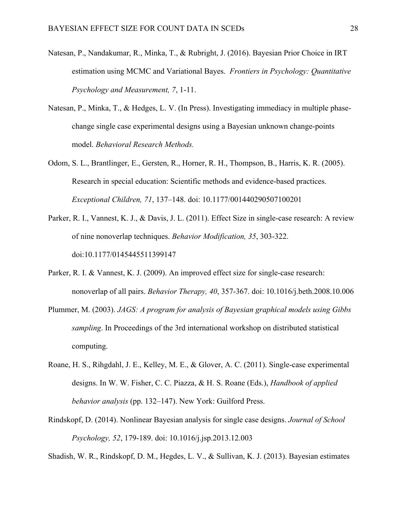- Natesan, P., Nandakumar, R., Minka, T., & Rubright, J. (2016). Bayesian Prior Choice in IRT estimation using MCMC and Variational Bayes. *Frontiers in Psychology: Quantitative Psychology and Measurement, 7*, 1-11.
- Natesan, P., Minka, T., & Hedges, L. V. (In Press). Investigating immediacy in multiple phasechange single case experimental designs using a Bayesian unknown change-points model. *Behavioral Research Methods.*
- Odom, S. L., Brantlinger, E., Gersten, R., Horner, R. H., Thompson, B., Harris, K. R. (2005). Research in special education: Scientific methods and evidence-based practices. *Exceptional Children, 71*, 137–148. doi: 10.1177/001440290507100201
- Parker, R. I., Vannest, K. J., & Davis, J. L. (2011). Effect Size in single-case research: A review of nine nonoverlap techniques. *Behavior Modification, 35*, 303-322. doi:10.1177/0145445511399147
- Parker, R. I. & Vannest, K. J. (2009). An improved effect size for single-case research: nonoverlap of all pairs. *Behavior Therapy, 40*, 357-367. doi: 10.1016/j.beth.2008.10.006
- Plummer, M. (2003). *JAGS: A program for analysis of Bayesian graphical models using Gibbs sampling*. In Proceedings of the 3rd international workshop on distributed statistical computing.
- Roane, H. S., Rihgdahl, J. E., Kelley, M. E., & Glover, A. C. (2011). Single-case experimental designs. In W. W. Fisher, C. C. Piazza, & H. S. Roane (Eds.), *Handbook of applied behavior analysis* (pp. 132–147). New York: Guilford Press.
- Rindskopf, D. (2014). Nonlinear Bayesian analysis for single case designs. *Journal of School Psychology, 52*, 179-189. doi: 10.1016/j.jsp.2013.12.003

Shadish, W. R., Rindskopf, D. M., Hegdes, L. V., & Sullivan, K. J. (2013). Bayesian estimates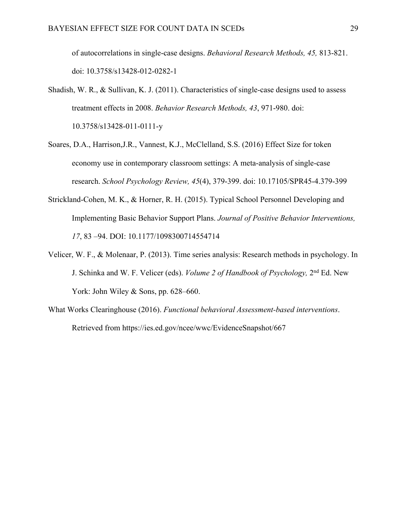of autocorrelations in single-case designs. *Behavioral Research Methods, 45,* 813-821. doi: 10.3758/s13428-012-0282-1

- Shadish, W. R., & Sullivan, K. J. (2011). Characteristics of single-case designs used to assess treatment effects in 2008. *Behavior Research Methods, 43*, 971-980. doi: 10.3758/s13428-011-0111-y
- Soares, D.A., Harrison,J.R., Vannest, K.J., McClelland, S.S. (2016) Effect Size for token economy use in contemporary classroom settings: A meta-analysis of single-case research. *School Psychology Review, 45*(4), 379-399. doi: 10.17105/SPR45-4.379-399
- Strickland-Cohen, M. K., & Horner, R. H. (2015). Typical School Personnel Developing and Implementing Basic Behavior Support Plans. *Journal of Positive Behavior Interventions, 17*, 83 –94. DOI: 10.1177/1098300714554714
- Velicer, W. F., & Molenaar, P. (2013). Time series analysis: Research methods in psychology. In J. Schinka and W. F. Velicer (eds). *Volume 2 of Handbook of Psychology,* 2nd Ed. New York: John Wiley & Sons, pp. 628–660.
- What Works Clearinghouse (2016). *Functional behavioral Assessment-based interventions*. Retrieved from https://ies.ed.gov/ncee/wwc/EvidenceSnapshot/667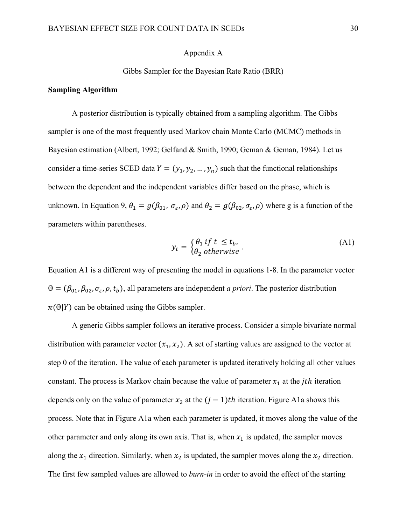## Appendix A

## Gibbs Sampler for the Bayesian Rate Ratio (BRR)

#### **Sampling Algorithm**

A posterior distribution is typically obtained from a sampling algorithm. The Gibbs sampler is one of the most frequently used Markov chain Monte Carlo (MCMC) methods in Bayesian estimation (Albert, 1992; Gelfand & Smith, 1990; Geman & Geman, 1984). Let us consider a time-series SCED data  $Y = (y_1, y_2, ..., y_n)$  such that the functional relationships between the dependent and the independent variables differ based on the phase, which is unknown. In Equation 9,  $\theta_1 = g(\beta_{01}, \sigma_{\varepsilon}, \rho)$  and  $\theta_2 = g(\beta_{02}, \sigma_{\varepsilon}, \rho)$  where g is a function of the parameters within parentheses.

$$
y_t = \begin{cases} \theta_1 & \text{if } t \le t_b, \\ \theta_2 & \text{otherwise} \end{cases} \tag{A1}
$$

Equation A1 is a different way of presenting the model in equations 1-8. In the parameter vector  $\Theta = (\beta_{01}, \beta_{02}, \sigma_{\varepsilon}, \rho, t_b)$ , all parameters are independent *a priori*. The posterior distribution  $\pi(\Theta|Y)$  can be obtained using the Gibbs sampler.

A generic Gibbs sampler follows an iterative process. Consider a simple bivariate normal distribution with parameter vector  $(x_1, x_2)$ . A set of starting values are assigned to the vector at step 0 of the iteration. The value of each parameter is updated iteratively holding all other values constant. The process is Markov chain because the value of parameter  $x_1$  at the *jth* iteration depends only on the value of parameter  $x_2$  at the  $(j - 1)$ th iteration. Figure A1a shows this process. Note that in Figure A1a when each parameter is updated, it moves along the value of the other parameter and only along its own axis. That is, when  $x_1$  is updated, the sampler moves along the  $x_1$  direction. Similarly, when  $x_2$  is updated, the sampler moves along the  $x_2$  direction. The first few sampled values are allowed to *burn-in* in order to avoid the effect of the starting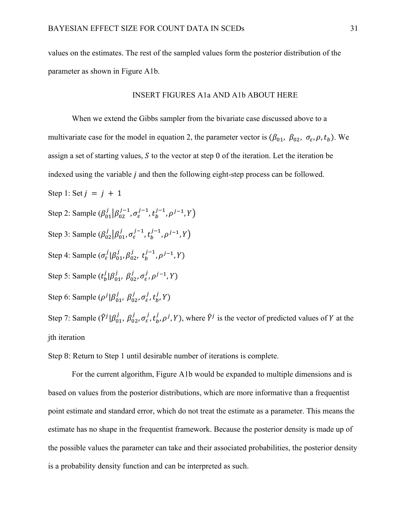values on the estimates. The rest of the sampled values form the posterior distribution of the parameter as shown in Figure A1b.

## INSERT FIGURES A1a AND A1b ABOUT HERE

When we extend the Gibbs sampler from the bivariate case discussed above to a multivariate case for the model in equation 2, the parameter vector is  $(\beta_{01}, \beta_{02}, \sigma_{\varepsilon}, \rho, t_b)$ . We assign a set of starting values,  $S$  to the vector at step 0 of the iteration. Let the iteration be indexed using the variable  *and then the following eight-step process can be followed.* Step 1: Set  $j = j + 1$ Step 2: Sample  $(\beta_{01}^j | \beta_{02}^{j-1}, \sigma_{\varepsilon}^{j-1}, t_b^{j-1}, \rho^{j-1}, Y)$ Step 3: Sample  $(\beta_{02}^j | \beta_{01}^j, \sigma_{\varepsilon}^{j-1}, t_b^{j-1}, \rho^{j-1}, Y)$ Step 4: Sample  $(\sigma_{\varepsilon}^j | \beta_{01}^j, \beta_{02}^j, t_b^{j-1}, \rho^{j-1}, Y)$ Step 5: Sample  $(t_b^j | \beta_{01}^j, \beta_{02}^j, \sigma_{\varepsilon}^j, \rho^{j-1}, Y)$ Step 6: Sample  $(\rho^j | \beta^j_{01}, \beta^j_{02}, \sigma^j_{\varepsilon}, t^j_{b}, Y)$ Step 7: Sample  $(\hat{Y}^j | \beta_{01}^j, \beta_{02}^j, \sigma_{\varepsilon}^j, t_b^j, \rho^j, Y)$ , where  $\hat{Y}^j$  is the vector of predicted values of Y at the jth iteration

Step 8: Return to Step 1 until desirable number of iterations is complete.

For the current algorithm, Figure A1b would be expanded to multiple dimensions and is based on values from the posterior distributions, which are more informative than a frequentist point estimate and standard error, which do not treat the estimate as a parameter. This means the estimate has no shape in the frequentist framework. Because the posterior density is made up of the possible values the parameter can take and their associated probabilities, the posterior density is a probability density function and can be interpreted as such.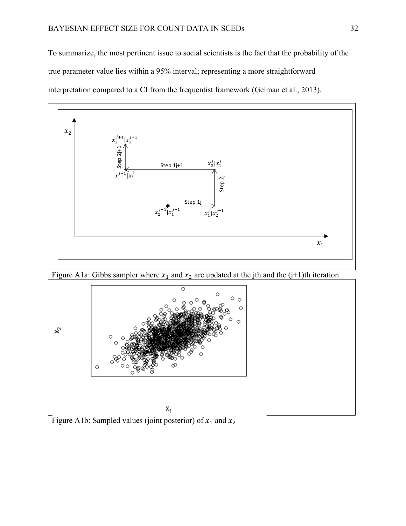To summarize, the most pertinent issue to social scientists is the fact that the probability of the true parameter value lies within a 95% interval; representing a more straightforward interpretation compared to a CI from the frequentist framework (Gelman et al., 2013).



Figure A1a: Gibbs sampler where  $x_1$  and  $x_2$  are updated at the jth and the (j+1)th iteration



Figure A1b: Sampled values (joint posterior) of  $x_1$  and  $x_2$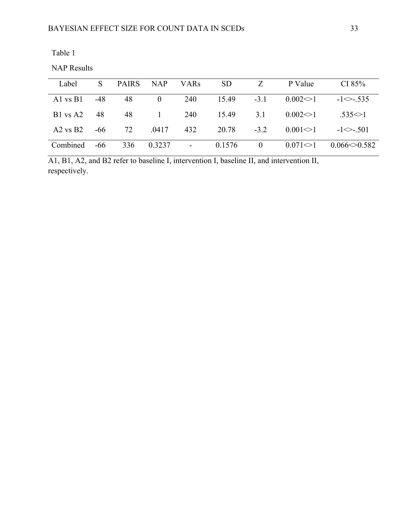| ın<br>н<br>σ |  |
|--------------|--|
|--------------|--|

NAP Results

| Label        | $\mathcal{S}$ | <b>PAIRS</b> | <b>NAP</b>     | <b>VARs</b>    | <b>SD</b> |                | P Value        | CI $85%$          |
|--------------|---------------|--------------|----------------|----------------|-----------|----------------|----------------|-------------------|
| Al $vsB1$    | $-48$         | 48           | $\overline{0}$ | 240            | 15.49     | $-3.1$         | $0.002 \leq 1$ | $-1 \le -0.535$   |
| $B1$ vs A2   | 48            | 48           | -1             | 240            | 15.49     | 3.1            | $0.002 \leq 1$ | $.535 \leq 1$     |
| $A2$ vs $B2$ | -66           | 72           | .0417          | 432            | 20.78     | $-3.2$         | $0.001 \leq 1$ | $-1 \le -501$     |
| Combined     | $-66$         | 336          | 0.3237         | $\blacksquare$ | 0.1576    | $\overline{0}$ | $0.071 \leq 1$ | $0.066 \le 0.582$ |

A1, B1, A2, and B2 refer to baseline I, intervention I, baseline II, and intervention II, respectively.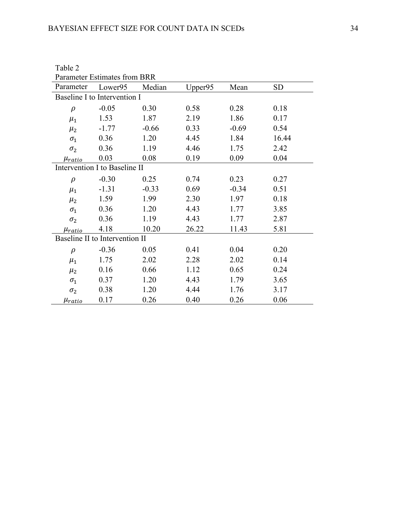| <b>Parameter Estimates from BRR</b> |         |         |         |         |           |  |  |  |  |  |
|-------------------------------------|---------|---------|---------|---------|-----------|--|--|--|--|--|
| Parameter                           | Lower95 | Median  | Upper95 | Mean    | <b>SD</b> |  |  |  |  |  |
| Baseline I to Intervention I        |         |         |         |         |           |  |  |  |  |  |
| $\rho$                              | $-0.05$ | 0.30    | 0.58    | 0.28    | 0.18      |  |  |  |  |  |
| $\mu_1$                             | 1.53    | 1.87    | 2.19    | 1.86    | 0.17      |  |  |  |  |  |
| $\mu_2$                             | $-1.77$ | $-0.66$ | 0.33    | $-0.69$ | 0.54      |  |  |  |  |  |
| $\sigma_1$                          | 0.36    | 1.20    | 4.45    | 1.84    | 16.44     |  |  |  |  |  |
| $\sigma_2$                          | 0.36    | 1.19    | 4.46    | 1.75    | 2.42      |  |  |  |  |  |
| $\mu_{ratio}$                       | 0.03    | 0.08    | 0.19    | 0.09    | 0.04      |  |  |  |  |  |
| Intervention I to Baseline II       |         |         |         |         |           |  |  |  |  |  |
| $\rho$                              | $-0.30$ | 0.25    | 0.74    | 0.23    | 0.27      |  |  |  |  |  |
| $\mu_1$                             | $-1.31$ | $-0.33$ | 0.69    | $-0.34$ | 0.51      |  |  |  |  |  |
| $\mu_2$                             | 1.59    | 1.99    | 2.30    | 1.97    | 0.18      |  |  |  |  |  |
| $\sigma_1$                          | 0.36    | 1.20    | 4.43    | 1.77    | 3.85      |  |  |  |  |  |
| $\sigma_2$                          | 0.36    | 1.19    | 4.43    | 1.77    | 2.87      |  |  |  |  |  |
| $\mu_{ratio}$                       | 4.18    | 10.20   | 26.22   | 11.43   | 5.81      |  |  |  |  |  |
| Baseline II to Intervention II      |         |         |         |         |           |  |  |  |  |  |
| $\rho$                              | $-0.36$ | 0.05    | 0.41    | 0.04    | 0.20      |  |  |  |  |  |
| $\mu_1$                             | 1.75    | 2.02    | 2.28    | 2.02    | 0.14      |  |  |  |  |  |
| $\mu_2$                             | 0.16    | 0.66    | 1.12    | 0.65    | 0.24      |  |  |  |  |  |
| $\sigma_1$                          | 0.37    | 1.20    | 4.43    | 1.79    | 3.65      |  |  |  |  |  |
| $\sigma_2$                          | 0.38    | 1.20    | 4.44    | 1.76    | 3.17      |  |  |  |  |  |
| $\mu_{ratio}$                       | 0.17    | 0.26    | 0.40    | 0.26    | 0.06      |  |  |  |  |  |

Table 2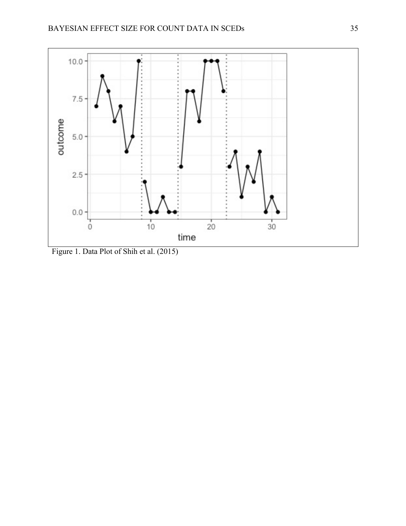

Figure 1. Data Plot of Shih et al. (2015)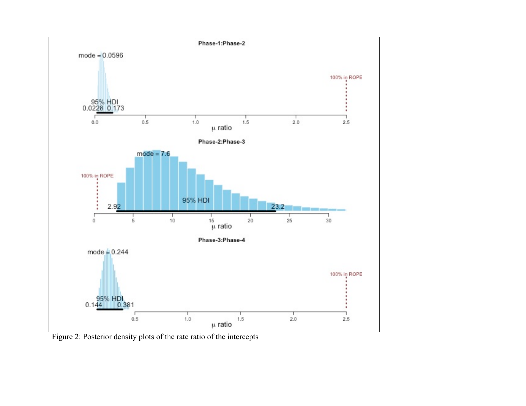

Figure 2: Posterior density plots of the rate ratio of the intercepts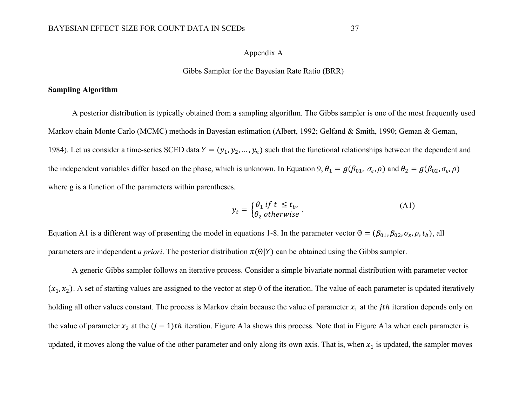# Appendix A

#### Gibbs Sampler for the Bayesian Rate Ratio (BRR)

## **Sampling Algorithm**

A posterior distribution is typically obtained from a sampling algorithm. The Gibbs sampler is one of the most frequently used Markov chain Monte Carlo (MCMC) methods in Bayesian estimation (Albert, 1992; Gelfand & Smith, 1990; Geman & Geman, 1984). Let us consider a time-series SCED data  $Y = (y_1, y_2, ..., y_n)$  such that the functional relationships between the dependent and the independent variables differ based on the phase, which is unknown. In Equation 9,  $\theta_1 = g(\beta_{01}, \sigma_{\varepsilon}, \rho)$  and  $\theta_2 = g(\beta_{02}, \sigma_{\varepsilon}, \rho)$ where g is a function of the parameters within parentheses.

$$
y_t = \begin{cases} \theta_1 & \text{if } t \le t_b, \\ \theta_2 & \text{otherwise} \end{cases} \tag{A1}
$$

Equation A1 is a different way of presenting the model in equations 1-8. In the parameter vector  $\Theta = (\beta_{01}, \beta_{02}, \sigma_{\varepsilon}, \rho, t_b)$ , all parameters are independent *a priori*. The posterior distribution  $\pi(\Theta|Y)$  can be obtained using the Gibbs sampler.

A generic Gibbs sampler follows an iterative process. Consider a simple bivariate normal distribution with parameter vector  $(x_1, x_2)$ . A set of starting values are assigned to the vector at step 0 of the iteration. The value of each parameter is updated iteratively holding all other values constant. The process is Markov chain because the value of parameter  $x_1$  at the *jth* iteration depends only on the value of parameter  $x_2$  at the  $(j - 1)$ th iteration. Figure A1a shows this process. Note that in Figure A1a when each parameter is updated, it moves along the value of the other parameter and only along its own axis. That is, when  $x_1$  is updated, the sampler moves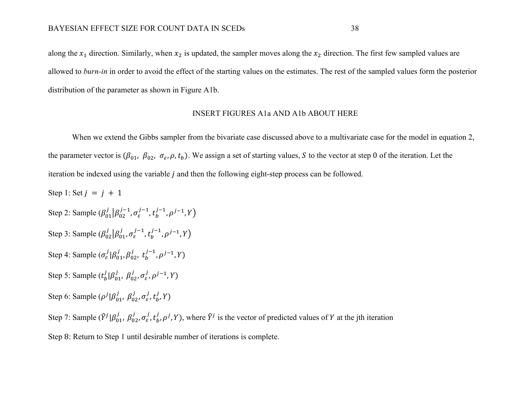along the  $x_1$  direction. Similarly, when  $x_2$  is updated, the sampler moves along the  $x_2$  direction. The first few sampled values are allowed to *burn-in* in order to avoid the effect of the starting values on the estimates. The rest of the sampled values form the posterior distribution of the parameter as shown in Figure A1b.

# INSERT FIGURES A1a AND A1b ABOUT HERE

When we extend the Gibbs sampler from the bivariate case discussed above to a multivariate case for the model in equation 2, the parameter vector is  $(\beta_{01}, \beta_{02}, \sigma_{\varepsilon}, \rho, t_b)$ . We assign a set of starting values, S to the vector at step 0 of the iteration. Let the iteration be indexed using the variable  $j$  and then the following eight-step process can be followed.

Step 1: Set  $j = j + 1$ Step 2: Sample  $(\beta_{01}^j | \beta_{02}^{j-1}, \sigma_{\varepsilon}^{j-1}, t_b^{j-1}, \rho^{j-1}, Y)$ Step 3: Sample  $(\beta_{02}^j | \beta_{01}^j, \sigma_{\varepsilon}^{j-1}, t_b^{j-1}, \rho^{j-1}, Y)$ Step 4: Sample  $(\sigma_{\varepsilon}^j | \beta_{01}^j, \beta_{02}^j, t_b^{j-1}, \rho^{j-1}, Y)$ Step 5: Sample  $(t_b^j | \beta_{01}^j, \beta_{02}^j, \sigma_{\varepsilon}^j, \rho^{j-1}, Y)$ Step 6: Sample  $(\rho^j | \beta^j_{01}, \beta^j_{02}, \sigma^j_{\varepsilon}, t^j_{b}, Y)$ Step 7: Sample  $(\hat{Y}^j | \beta_{01}^j, \beta_{02}^j, \sigma_{\varepsilon}^j, t_b^j, \rho^j, Y)$ , where  $\hat{Y}^j$  is the vector of predicted values of Y at the jth iteration

Step 8: Return to Step 1 until desirable number of iterations is complete.